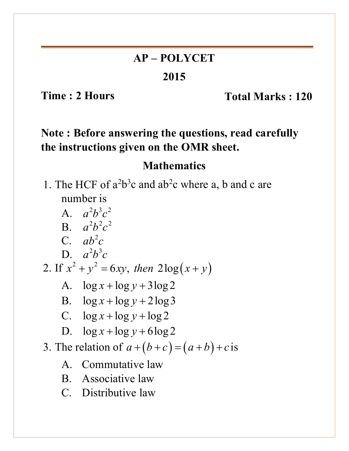# **AP – POLYCET**

#### **2015**

**Time : 2 Hours** Total Marks : 120

# **Note : Before answering the questions, read carefully the instructions given on the OMR sheet.**

## **Mathematics**

1. The HCF of  $a^2b^3c$  and  $ab^2c$  where a, b and c are number is

- A.  $a^2 h^3 c^2$ **B.**  $a^2b^2c^2$ C.  $ab^2c$ D.  $a^2b^3c$ 2. If  $x^2 + y^2 = 6xy$ , then  $2\log(x + y)$ A.  $\log x + \log y + 3\log 2$ B.  $\log x + \log y + 2\log 3$ C.  $\log x + \log y + \log 2$ D.  $\log x + \log y + 6\log 2$ 3. The relation of  $a+(b+c)=(a+b)+c$  is A. Commutative law B. Associative law
	- C. Distributive law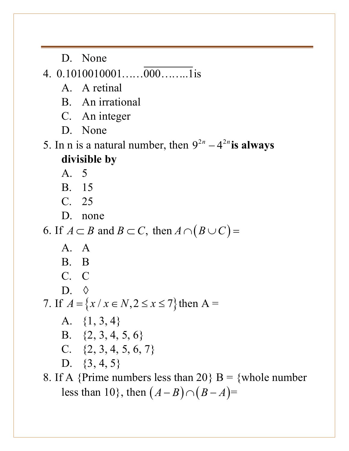D. None

4.  $0.1010010001$ .......000........1 is

A. A retinal

B. An irrational

C. An integer

D. None

5. In n is a natural number, then  $9^{2n} - 4^{2n}$  is always **divisible by**

A. 5

B. 15

C. 25

D. none

6. If  $A \subset B$  and  $B \subset C$ , then  $A \cap (B \cup C)$  =

A. A B. B C. C D.  $\diamond$ 7. If  $A = \{x \mid x \in N, 2 \le x \le 7\}$  then A = A. {1, 3, 4} B. {2, 3, 4, 5, 6} C.  $\{2, 3, 4, 5, 6, 7\}$ D. {3, 4, 5} 8. If A {Prime numbers less than 20} B = {whole number

less than 10, then  $(A - B) \cap (B - A)$ =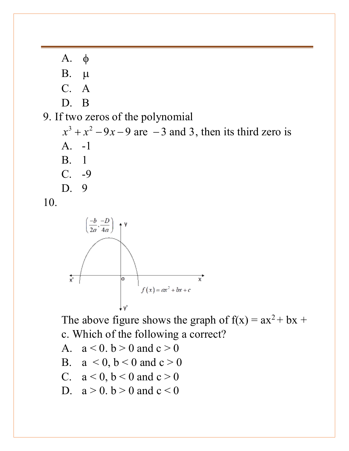A. φ B. µ C. A D. B 9. If two zeros of the polynomial  $x^3 + x^2 - 9x - 9$  are  $-3$  and 3, then its third zero is A. -1 B. 1 C. -9 D. 9 10.



The above figure shows the graph of  $f(x) = ax^2 + bx +$ c. Which of the following a correct?

A.  $a < 0, b > 0$  and  $c > 0$ 

B.  $a < 0, b < 0$  and  $c > 0$ 

C. 
$$
a < 0
$$
,  $b < 0$  and  $c > 0$ 

D.  $a > 0$ .  $b > 0$  and  $c < 0$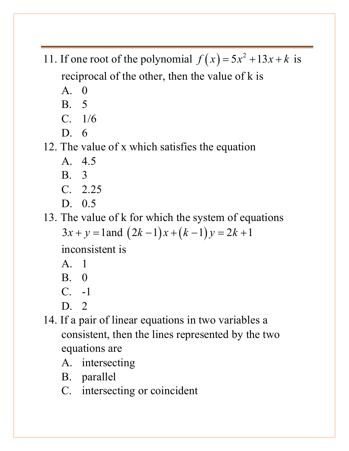- 11. If one root of the polynomial  $f(x) = 5x^2 + 13x + k$  is reciprocal of the other, then the value of k is
	- $A \quad 0$
	- B. 5
	- C. 1/6
	- D. 6

12. The value of x which satisfies the equation

- A. 4.5
- B. 3
- C. 2.25
- D. 0.5

13. The value of k for which the system of equations

```
3x + y = 1 and (2k-1)x + (k-1)y = 2k+1
```
inconsistent is

- A. 1
- B. 0
- C. -1
- D. 2
- 14. If a pair of linear equations in two variables a consistent, then the lines represented by the two equations are
	- A. intersecting
	- B. parallel
	- C. intersecting or coincident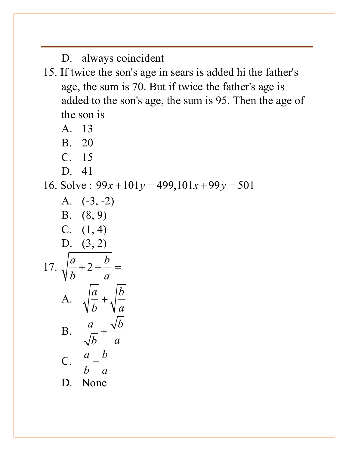D. always coincident

- 15. If twice the son's age in sears is added hi the father's age, the sum is 70. But if twice the father's age is added to the son's age, the sum is 95. Then the age of the son is
	- A. 13
	- B. 20
	- C. 15
	- D. 41

16. Solve:  $99x + 101y = 499,101x + 99y = 501$ 

A. (-3, -2)  
\nB. (8, 9)  
\nC. (1, 4)  
\nD. (3, 2)  
\n17. 
$$
\sqrt{\frac{a}{b} + 2 + \frac{b}{a}} =
$$
  
\nA.  $\sqrt{\frac{a}{b}} + \sqrt{\frac{b}{a}}$   
\nB.  $\frac{a}{\sqrt{b}} + \frac{\sqrt{b}}{a}$   
\nC.  $\frac{a}{b} + \frac{b}{a}$   
\nD. None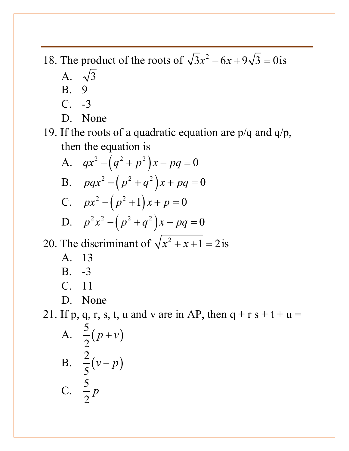- 18. The product of the roots of  $\sqrt{3} x^2 6x + 9\sqrt{3} = 0$  is
	- A.  $\sqrt{3}$
	- B. 9
	- C. -3
	- D. None

19. If the roots of a quadratic equation are p/q and q/p, then the equation is

A. 
$$
qx^2 - (q^2 + p^2)x - pq = 0
$$
  
\nB.  $pqx^2 - (p^2 + q^2)x + pq = 0$ 

C. 
$$
px^2 - (p^2 + 1)x + p = 0
$$

D. 
$$
p^2 x^2 - (p^2 + q^2)x - pq = 0
$$

20. The discriminant of  $\sqrt{x^2 + x + 1} = 2$  is

- A. 13
- B. -3
- C. 11
- D. None

21. If p, q, r, s, t, u and v are in AP, then  $q + r s + t + u =$ 

A. 
$$
\frac{5}{2}(p+v)
$$
  
\nB. 
$$
\frac{2}{5}(v-p)
$$
  
\nC. 
$$
\frac{5}{2}p
$$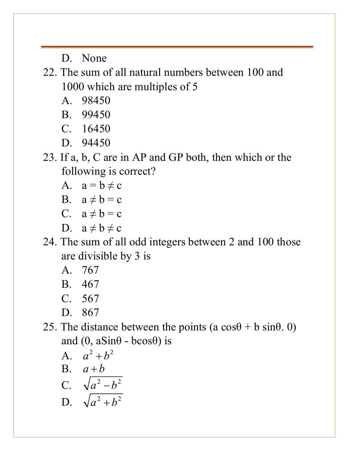D. None

22. The sum of all natural numbers between 100 and 1000 which are multiples of 5

- A. 98450
- B. 99450
- C. 16450
- D. 94450
- 23. If a, b, C are in AP and GP both, then which or the following is correct?
	- A.  $a = b \neq c$
	- B.  $a \neq b = c$
	- C.  $a \neq b = c$
	- D.  $a \neq b \neq c$
- 24. The sum of all odd integers between 2 and 100 those are divisible by 3 is
	- A. 767
	- B. 467
	- C. 567
	- D. 867
- 25. The distance between the points  $(a cos \theta + b sin \theta, 0)$ and  $(0, aSin\theta - bcos\theta)$  is

$$
A. \quad a^2 + b^2
$$

B. 
$$
a+b
$$

C. 
$$
\sqrt{a^2-b^2}
$$

$$
D. \quad \sqrt{a^2 + b^2}
$$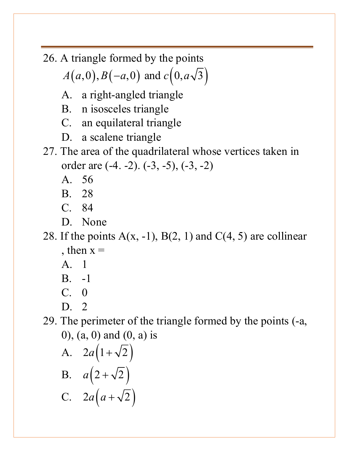26. A triangle formed by the points

 $A(a,0), B(-a,0)$  and  $c(0, a\sqrt{3})$ 

- A. a right-angled triangle
- B. n isosceles triangle
- C. an equilateral triangle
- D. a scalene triangle
- 27. The area of the quadrilateral whose vertices taken in order are (-4. -2). (-3, -5), (-3, -2)
	- A. 56
	- B. 28
	- C. 84
	- D. None
- 28. If the points  $A(x, -1)$ ,  $B(2, 1)$  and  $C(4, 5)$  are collinear , then  $x =$ 
	- A. 1
	- B. -1
	- $C. 0$
	- D. 2

29. The perimeter of the triangle formed by the points (-a, 0), (a, 0) and (0, a) is

A. 
$$
2a(1+\sqrt{2})
$$
  
\nB.  $a(2+\sqrt{2})$   
\nC.  $2a(a+\sqrt{2})$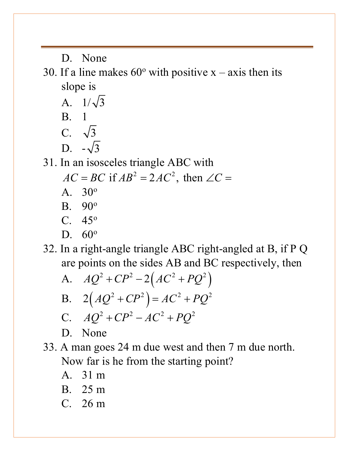D. None

30. If a line makes  $60^{\circ}$  with positive x – axis then its slope is

A.  $1/\sqrt{3}$ B. 1 C.  $\sqrt{3}$ D.  $-\sqrt{3}$ 

31. In an isosceles triangle ABC with

 $AC = BC$  if  $AB^2 = 2AC^2$ , then  $\angle C =$ 

- A. 30o B. 90o
- C.  $45^{\circ}$
- D.  $60^\circ$

32. In a right-angle triangle ABC right-angled at B, if P Q are points on the sides AB and BC respectively, then

A. 
$$
AQ^{2} + CP^{2} - 2(AC^{2} + PQ^{2})
$$
  
\nB. 
$$
2(AQ^{2} + CP^{2}) = AC^{2} + PQ^{2}
$$
  
\nC. 
$$
AQ^{2} + CP^{2} - AC^{2} + PQ^{2}
$$

$$
D. \quad \text{None}
$$

- 33. A man goes 24 m due west and then 7 m due north. Now far is he from the starting point?
	- A. 31 m
	- B. 25 m
	- C. 26 m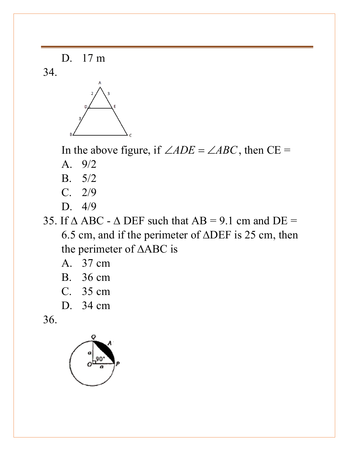D. 17 m

34.



In the above figure, if  $\angle ADE = \angle ABC$ , then CE =

- A. 9/2
- B. 5/2
- C. 2/9
- D. 4/9

35. If  $\triangle$  ABC -  $\triangle$  DEF such that AB = 9.1 cm and DE = 6.5 cm, and if the perimeter of ∆DEF is 25 cm, then the perimeter of ∆ABC is

- A. 37 cm
- B. 36 cm
- C. 35 cm
- D. 34 cm

36.

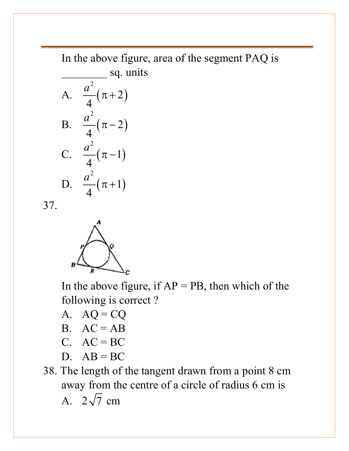In the above figure, area of the segment PAQ is sq. units

A. 
$$
\frac{a^2}{4}(\pi + 2)
$$
  
\nB.  $\frac{a^2}{4}(\pi - 2)$   
\nC.  $\frac{a^2}{4}(\pi - 1)$   
\nD.  $\frac{a^2}{4}(\pi + 1)$ 

37.



In the above figure, if  $AP = PB$ , then which of the following is correct ?

A.  $AQ = CQ$ 

B. 
$$
AC = AB
$$

$$
C. \quad AC = BC
$$

D.  $AB = BC$ 

38. The length of the tangent drawn from a point 8 cm away from the centre of a circle of radius 6 cm is A.  $2\sqrt{7}$  cm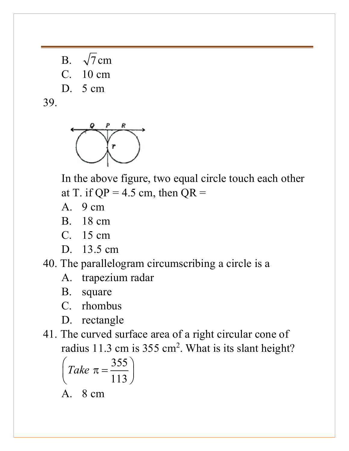B.  $\sqrt{7}$  cm C. 10 cm D. 5 cm

39.



In the above figure, two equal circle touch each other at T. if  $QP = 4.5$  cm, then  $QR =$ 

- A. 9 cm
- B. 18 cm
- C. 15 cm
- D. 13.5 cm
- 40. The parallelogram circumscribing a circle is a
	- A. trapezium radar
	- B. square
	- C. rhombus
	- D. rectangle
- 41. The curved surface area of a right circular cone of radius 11.3 cm is 355 cm<sup>2</sup>. What is its slant height?

$$
\left( Take \ \pi = \frac{355}{113} \right)
$$

A. 8 cm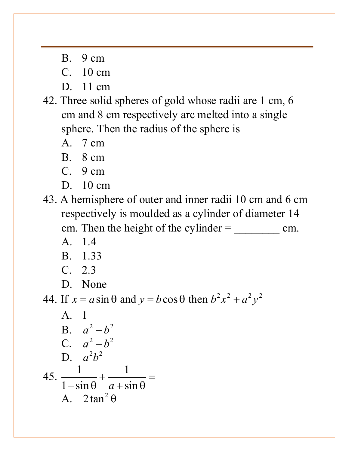- B. 9 cm
- C. 10 cm
- D. 11 cm
- 42. Three solid spheres of gold whose radii are 1 cm, 6 cm and 8 cm respectively arc melted into a single sphere. Then the radius of the sphere is
	- A. 7 cm
	- B. 8 cm
	- C. 9 cm
	- D. 10 cm

43. A hemisphere of outer and inner radii 10 cm and 6 cm respectively is moulded as a cylinder of diameter 14 cm. Then the height of the cylinder = \_\_\_\_\_\_\_\_ cm.

- A. 1.4
- B. 1.33
- C. 2.3
- D. None

44. If  $x = a \sin \theta$  and  $y = b \cos \theta$  then  $b^2 x^2 + a^2 y^2$ 

A. 1  
\nB. 
$$
a^2 + b^2
$$
  
\nC.  $a^2 - b^2$   
\nD.  $a^2b^2$   
\n45.  $\frac{1}{1-\sin\theta} + \frac{1}{a+\sin\theta} =$   
\nA.  $2\tan^2\theta$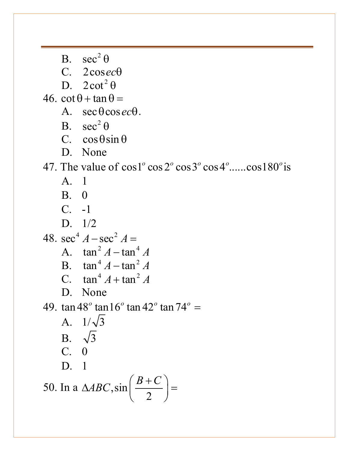B.  $\sec^2 \theta$ 

C. 2cos*ec*θ

D.  $2 \cot^2 \theta$ 

 $46. \cot \theta + \tan \theta =$ 

- $A. \ \sec \theta \cos \theta.$
- B.  $\sec^2 \theta$

C.  $\cos \theta \sin \theta$ 

D. None

47. The value of  $\cos 1^\circ \cos 2^\circ \cos 3^\circ \cos 4^\circ \dots \cos 180^\circ$  is

- A. 1
- B. 0
- C. -1
- D. 1/2

48. 
$$
\sec^4 A - \sec^2 A =
$$
  
A.  $\tan^2 A - \tan^4 A$ 

B. 
$$
\tan^4 A - \tan^2 A
$$
  
C.  $\tan^4 A + \tan^2 A$ 

C.  $\tan^4 A + \tan^4 A$ 

D. None

49.  $\tan 48^{\circ} \tan 16^{\circ} \tan 42^{\circ} \tan 74^{\circ} =$ 

A. 
$$
1/\sqrt{3}
$$
  
\nB.  $\sqrt{3}$   
\nC. 0  
\nD. 1

50. In a 
$$
\triangle ABC
$$
,  $\sin\left(\frac{B+C}{2}\right) =$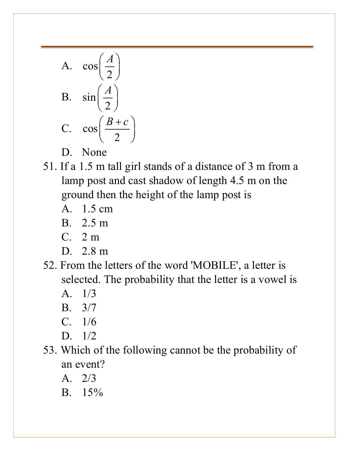A. 
$$
\cos\left(\frac{A}{2}\right)
$$
  
\nB.  $\sin\left(\frac{A}{2}\right)$   
\nC.  $\cos\left(\frac{B+c}{2}\right)$ 

- D. None
- 51. If a 1.5 m tall girl stands of a distance of 3 m from a lamp post and cast shadow of length 4.5 m on the ground then the height of the lamp post is
	- A. 1.5 cm
	- B. 2.5 m
	- C. 2 m
	- D. 2.8 m
- 52. From the letters of the word 'MOBILE', a letter is selected. The probability that the letter is a vowel is
	- A. 1/3
	- B. 3/7
	- C. 1/6
	- D. 1/2
- 53. Which of the following cannot be the probability of an event?
	- A. 2/3
	- B. 15%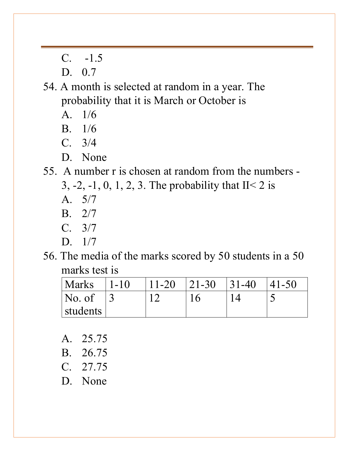C. -1.5

D. 0.7

54. A month is selected at random in a year. The probability that it is March or October is

- A. 1/6
- B. 1/6
- C. 3/4
- D. None

55. A number r is chosen at random from the numbers -

3, -2, -1, 0, 1, 2, 3. The probability that  $II < 2$  is

- A. 5/7
- B. 2/7
- C. 3/7
- D. 1/7
- 56. The media of the marks scored by 50 students in a 50 marks test is

| 'Marks                  | $1 - 10$ | $11-20$ $121-30$ | $ 31-40 $ | $ 41-50$ |
|-------------------------|----------|------------------|-----------|----------|
| $\overline{\rm No. of}$ |          |                  |           |          |
| students                |          |                  |           |          |

- A. 25.75
- B. 26.75
- C. 27.75
- D. None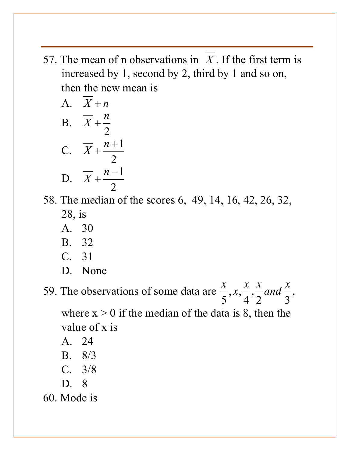57. The mean of n observations in *X* . If the first term is increased by 1, second by 2, third by 1 and so on, then the new mean is

A. 
$$
X + n
$$
  
\nB. 
$$
\overline{X} + \frac{n}{2}
$$
  
\nC. 
$$
\overline{X} + \frac{n+1}{2}
$$
  
\nD. 
$$
\overline{X} + \frac{n-1}{2}
$$

58. The median of the scores 6, 49, 14, 16, 42, 26, 32, 28, is

- A. 30
- B. 32
- C. 31
- D. None

59. The observations of some data are  $\frac{x}{5}$ ,  $x, \frac{x}{1}$ ,  $5^{34}$  4 2 3  $\frac{x}{z}$ , x,  $\frac{x}{z}$ ,  $\frac{x}{z}$  and  $\frac{x}{z}$ , where  $x > 0$  if the median of the data is 8, then the

value of x is

- A. 24
- B. 8/3
- C. 3/8
- D. 8
- 60. Mode is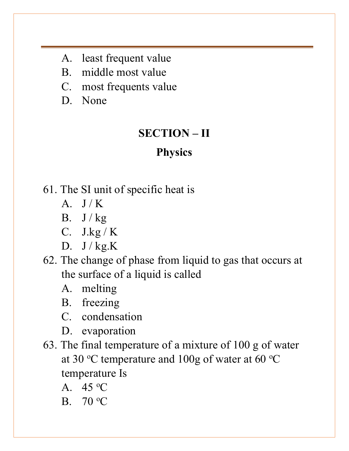- A. least frequent value
- B. middle most value
- C. most frequents value
- D. None

#### **SECTION – II**

# **Physics**

- 61. The SI unit of specific heat is
	- $A \quad I/K$
	- B.  $J/kg$
	- C. J.kg / K
	- D.  $J / kg.K$
- 62. The change of phase from liquid to gas that occurs at the surface of a liquid is called
	- A. melting
	- B. freezing
	- C. condensation
	- D. evaporation
- 63. The final temperature of a mixture of 100 g of water at 30 °C temperature and 100g of water at 60 °C temperature Is
	- A.  $45^{\circ}$ C
	- B. 70 °C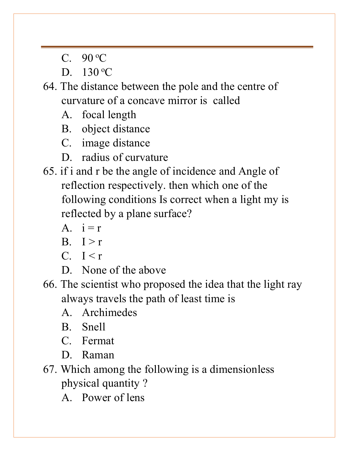- C.  $90^{\circ}$ C
- D.  $130^{\circ}$ C
- 64. The distance between the pole and the centre of curvature of a concave mirror is called
	- A. focal length
	- B. object distance
	- C. image distance
	- D. radius of curvature
- 65. if i and r be the angle of incidence and Angle of reflection respectively. then which one of the following conditions Is correct when a light my is reflected by a plane surface?
	- A.  $i = r$
	- $B.$   $I > r$
	- $C.$  I  $\leq r$
	- D. None of the above
- 66. The scientist who proposed the idea that the light ray always travels the path of least time is
	- A. Archimedes
	- B. Snell
	- C. Fermat
	- D. Raman
- 67. Which among the following is a dimensionless physical quantity ?
	- A. Power of lens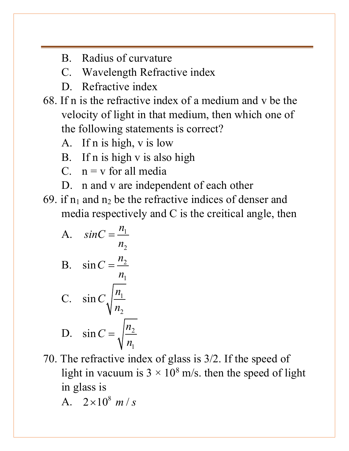- B. Radius of curvature
- C. Wavelength Refractive index
- D. Refractive index
- 68. If n is the refractive index of a medium and v be the velocity of light in that medium, then which one of the following statements is correct?
	- A. If n is high, v is low
	- B. If n is high v is also high
	- C.  $n = v$  for all media
	- D. n and v are independent of each other
- 69. if  $n_1$  and  $n_2$  be the refractive indices of denser and media respectively and C is the creitical angle, then
	- A.  $sinC = \frac{n_1}{n_2}$  $n<sub>2</sub>$

B. 
$$
\sin C = \frac{n_2}{n_1}
$$

C. 
$$
\sin C \sqrt{\frac{n_1}{n_2}}
$$
  
D.  $\sin C = \sqrt{\frac{n_2}{n_1}}$ 

- 70. The refractive index of glass is 3/2. If the speed of light in vacuum is  $3 \times 10^8$  m/s. then the speed of light in glass is
	- A.  $2 \times 10^8$  *m / s*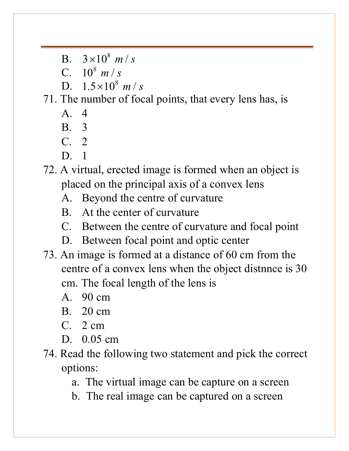B.  $3 \times 10^8$  *m / s* 

C.  $10^8$  *m / s* 

D.  $1.5 \times 10^8$  *m / s* 

71. The number of focal points, that every lens has, is

A. 4

B. 3

- C. 2
- D. 1

72. A virtual, erected image is formed when an object is placed on the principal axis of a convex lens

- A. Beyond the centre of curvature
- B. At the center of curvature
- C. Between the centre of curvature and focal point
- D. Between focal point and optic center
- 73. An image is formed at a distance of 60 cm from the centre of a convex lens when the object distnnce is 30 cm. The focal length of the lens is
	- A. 90 cm
	- B. 20 cm
	- C. 2 cm
	- D. 0.05 cm
- 74. Read the following two statement and pick the correct options:

a. The virtual image can be capture on a screen

b. The real image can be captured on a screen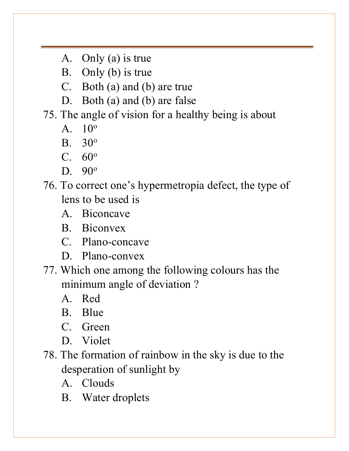- A. Only (a) is true
- B. Only (b) is true
- C. Both (a) and (b) are true
- D. Both (a) and (b) are false

#### 75. The angle of vision for a healthy being is about

- $A = 10^{\circ}$
- B. 30o
- $C. 60°$
- D. 90<sup>o</sup>
- 76. To correct one's hypermetropia defect, the type of lens to be used is
	- A. Biconcave
	- B. Biconvex
	- C. Plano-concave
	- D. Plano-convex
- 77. Which one among the following colours has the minimum angle of deviation ?
	- A. Red
	- B. Blue
	- C. Green
	- D. Violet
- 78. The formation of rainbow in the sky is due to the desperation of sunlight by
	- A. Clouds
	- B. Water droplets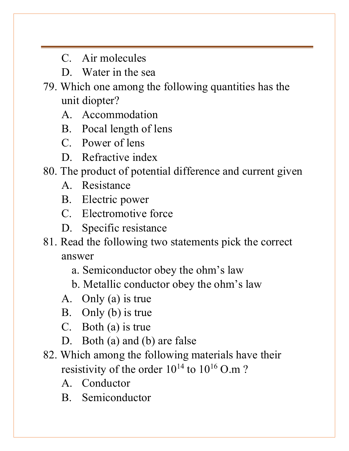- C. Air molecules
- D. Water in the sea
- 79. Which one among the following quantities has the unit diopter?
	- A. Accommodation
	- B. Pocal length of lens
	- C. Power of lens
	- D. Refractive index
- 80. The product of potential difference and current given
	- A. Resistance
	- B. Electric power
	- C. Electromotive force
	- D. Specific resistance
- 81. Read the following two statements pick the correct answer
	- a. Semiconductor obey the ohm's law
	- b. Metallic conductor obey the ohm's law
	- A. Only (a) is true
	- B. Only (b) is true
	- C. Both (a) is true
	- D. Both (a) and (b) are false
- 82. Which among the following materials have their resistivity of the order  $10^{14}$  to  $10^{16}$  O.m ?
	- A. Conductor
	- B. Semiconductor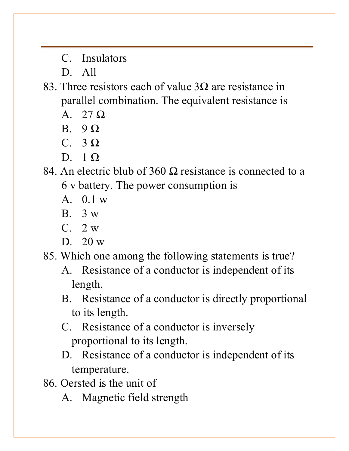C. Insulators

D. All

83. Three resistors each of value  $3\Omega$  are resistance in parallel combination. The equivalent resistance is

- A. 27 Ω
- $B \theta$
- C. 3 Ω
- $D \quad 1 \Omega$
- 84. An electric blub of 360  $\Omega$  resistance is connected to a 6 v battery. The power consumption is
	- A. 0.1 w
	- B. 3 w
	- C. 2 w
	- D. 20 w

85. Which one among the following statements is true?

- A. Resistance of a conductor is independent of its length.
- B. Resistance of a conductor is directly proportional to its length.
- C. Resistance of a conductor is inversely proportional to its length.
- D. Resistance of a conductor is independent of its temperature.
- 86. Oersted is the unit of
	- A. Magnetic field strength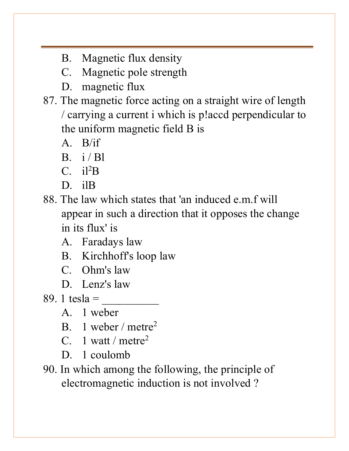- B. Magnetic flux density
- C. Magnetic pole strength
- D. magnetic flux
- 87. The magnetic force acting on a straight wire of length / carrying a current i which is p!accd perpendicular to the uniform magnetic field B is
	- A. B/if
	- B.  $i / Bl$
	- C.  $i l^2 B$
	- D ilB
- 88. The law which states that 'an induced e.m.f will appear in such a direction that it opposes the change in its flux' is
	- A. Faradays law
	- B. Kirchhoff's loop law
	- C. Ohm's law
	- D. Lenz's law
- 89. 1 tesla  $=$ 
	- A. 1 weber
	- B. 1 weber / metre<sup>2</sup>
	- C. 1 watt / metre<sup>2</sup>
	- D. 1 coulomb
- 90. In which among the following, the principle of electromagnetic induction is not involved ?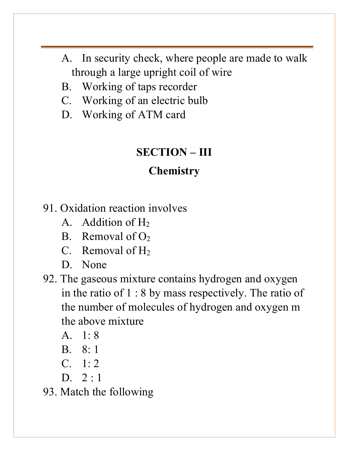- A. In security check, where people are made to walk through a large upright coil of wire
- B. Working of taps recorder
- C. Working of an electric bulb
- D. Working of ATM card

## **SECTION – III**

### **Chemistry**

- 91. Oxidation reaction involves
	- A. Addition of  $H_2$
	- B. Removal of  $O<sub>2</sub>$
	- C. Removal of  $H_2$
	- D. None
- 92. The gaseous mixture contains hydrogen and oxygen in the ratio of 1 : 8 by mass respectively. The ratio of the number of molecules of hydrogen and oxygen m the above mixture
	- A. 1: 8
	- B. 8: 1
	- C. 1: 2
	- D.  $2:1$
- 93. Match the following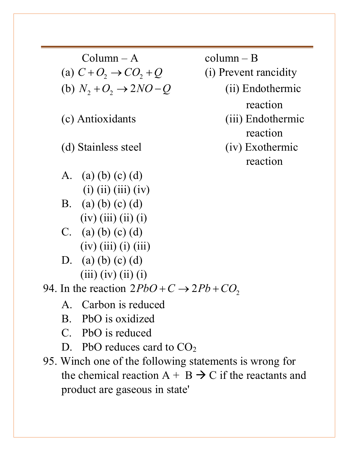$Column - A$  column – B (a)  $C + O_2 \rightarrow CO_2 + Q$  (i) Prevent rancidity (b)  $N_2 + O_2 \rightarrow 2NO - Q$  (ii) Endothermic

- A. (a) (b) (c) (d)  $(i)$   $(ii)$   $(iii)$   $(iv)$
- B. (a) (b) (c) (d)  $(iv)$  (iii) (ii) (i)
- C. (a) (b) (c) (d)  $(iv)$  (iii) (i) (iii)
- D. (a) (b) (c) (d)  $(iii)$   $(iv)$   $(ii)$   $(i)$

94. In the reaction  $2PbO + C \rightarrow 2Pb + CO$ ,

- A. Carbon is reduced
- B. PbO is oxidized
- C. PbO is reduced
- D. PbO reduces card to  $CO<sub>2</sub>$
- 95. Winch one of the following statements is wrong for the chemical reaction  $A + B \rightarrow C$  if the reactants and product are gaseous in state'

reaction (c) Antioxidants (iii) Endothermic reaction (d) Stainless steel (iv) Exothermic reaction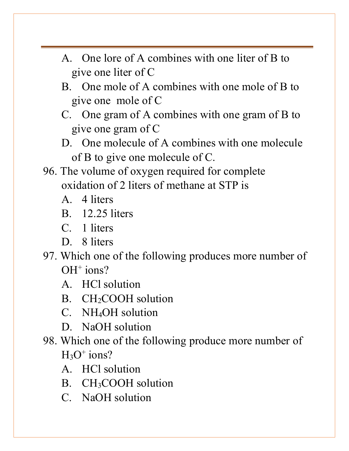- A. One lore of A combines with one liter of B to give one liter of C
- B. One mole of A combines with one mole of B to give one mole of C
- C. One gram of A combines with one gram of B to give one gram of C
- D. One molecule of A combines with one molecule of B to give one molecule of C.
- 96. The volume of oxygen required for complete oxidation of 2 liters of methane at STP is
	- A. 4 liters
	- B. 12.25 liters
	- C. 1 liters
	- D. 8 liters
- 97. Which one of the following produces more number of  $OH<sup>+</sup> ions?$ 
	- A. HCl solution
	- B. CH<sub>2</sub>COOH solution
	- C. NH4OH solution
	- D. NaOH solution
- 98. Which one of the following produce more number of  $H<sub>3</sub>O<sup>+</sup> ions?$ 
	- A. HCl solution
	- B. CH3COOH solution
	- C. NaOH solution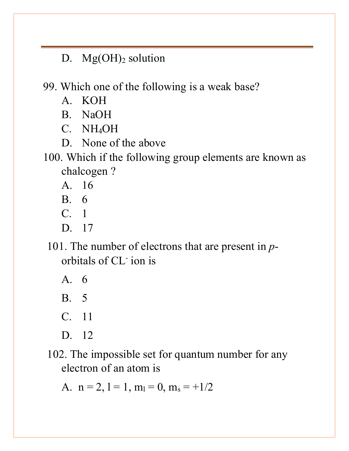D.  $Mg(OH)_2$  solution

99. Which one of the following is a weak base?

- A. KOH
- B. NaOH
- C. NH4OH
- D. None of the above
- 100. Which if the following group elements are known as chalcogen ?
	- A. 16
	- B. 6
	- C. 1
	- D. 17
	- 101. The number of electrons that are present in *p*orbitals of CL- ion is
		- A. 6
		- B. 5
		- C. 11
		- D. 12
	- 102. The impossible set for quantum number for any electron of an atom is

A.  $n = 2$ ,  $l = 1$ ,  $m_l = 0$ ,  $m_s = +1/2$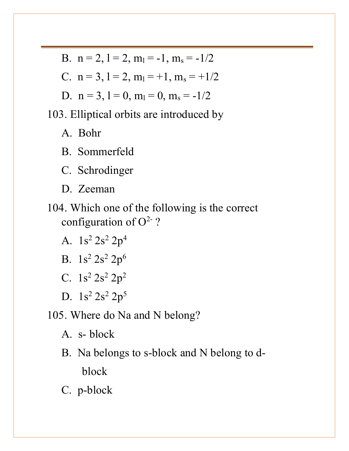- B.  $n = 2$ ,  $l = 2$ ,  $m_l = -1$ ,  $m_s = -1/2$
- C.  $n = 3$ ,  $l = 2$ ,  $m_l = +1$ ,  $m_s = +1/2$
- D.  $n = 3$ ,  $l = 0$ ,  $m_l = 0$ ,  $m_s = -1/2$

103. Elliptical orbits are introduced by

A. Bohr

- B. Sommerfeld
- C. Schrodinger
- D. Zeeman
- 104. Which one of the following is the correct configuration of  $O^2$ ?
	- A.  $1s^2 2s^2 2p^4$
	- B.  $1s^2 2s^2 2p^6$
	- C.  $1s^2 2s^2 2p^2$
	- D.  $1s^2 2s^2 2p^5$
- 105. Where do Na and N belong?
	- A. s- block
	- B. Na belongs to s-block and N belong to dblock
	- C. p-block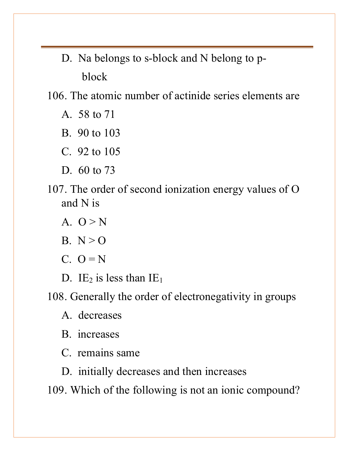D. Na belongs to s-block and N belong to pblock

106. The atomic number of actinide series elements are

- A. 58 to 71
- B. 90 to 103
- C. 92 to 105
- D. 60 to 73
- 107. The order of second ionization energy values of O and N is
	- A.  $Q > N$
	- B.  $N > 0$
	- $C. 0 = N$
	- D. IE<sub>2</sub> is less than  $IE<sub>1</sub>$
- 108. Generally the order of electronegativity in groups
	- A. decreases
	- B. increases
	- C. remains same
	- D. initially decreases and then increases

109. Which of the following is not an ionic compound?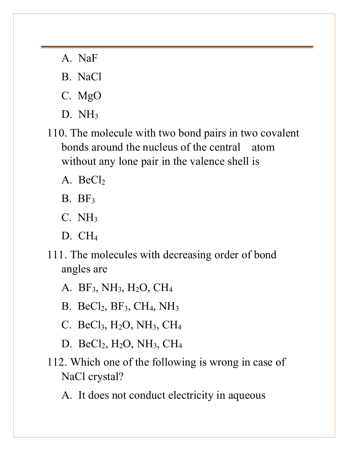- A. NaF
- B. NaCl
- C. MgO
- D. NH3
- 110. The molecule with two bond pairs in two covalent bonds around the nucleus of the central atom without any lone pair in the valence shell is
	- A. Be $Cl<sub>2</sub>$
	- $B. BF<sub>3</sub>$
	- $C. \overline{NH}_3$
	- D. CH4
- 111. The molecules with decreasing order of bond angles are
	- A. BF3, NH3, H2O, CH4
	- B. BeCl2, BF3, CH4, NH3
	- C. BeCl<sub>3</sub>,  $H_2O$ ,  $NH_3$ ,  $CH_4$
	- D. BeCl<sub>2</sub>, H<sub>2</sub>O, NH<sub>3</sub>, CH<sub>4</sub>
- 112. Which one of the following is wrong in case of NaCl crystal?
	- A. It does not conduct electricity in aqueous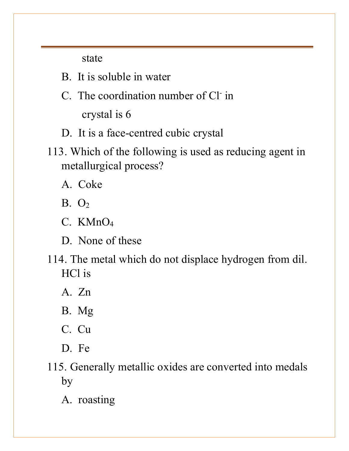state

- B. It is soluble in water
- C. The coordination number of Cl- in

crystal is 6

- D. It is a face-centred cubic crystal
- 113. Which of the following is used as reducing agent in metallurgical process?
	- A. Coke
	- B. O2
	- C. KMnO4
	- D. None of these
- 114. The metal which do not displace hydrogen from dil. HCl is
	- A. Zn
	- B. Mg
	- C. Cu
	- D. Fe
- 115. Generally metallic oxides are converted into medals by
	- A. roasting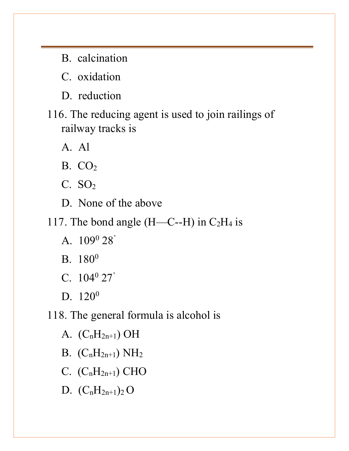- B. calcination
- C. oxidation
- D. reduction
- 116. The reducing agent is used to join railings of railway tracks is
	- A. Al
	- $B. CO<sub>2</sub>$
	- $C. SO<sub>2</sub>$
	- D. None of the above
- 117. The bond angle  $(H—C--H)$  in  $C_2H_4$  is
	- A. 1090 28'
	- B. 180<sup>0</sup>
	- C. 1040 27'
	- D. 120<sup>0</sup>
- 118. The general formula is alcohol is
	- A.  $(C_nH_{2n+1})$  OH
	- B.  $(C_nH_{2n+1}) NH_2$
	- C.  $(C_nH_{2n+1})$  CHO
	- D.  $(C_nH_{2n+1})_2$  O